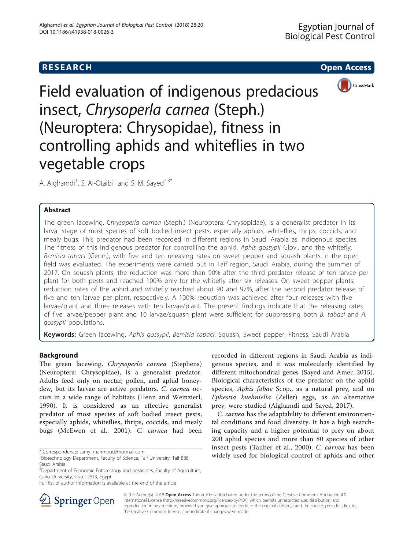# **RESEARCH RESEARCH CONSUMING ACCESS**



Field evaluation of indigenous predacious insect, Chrysoperla carnea (Steph.) (Neuroptera: Chrysopidae), fitness in controlling aphids and whiteflies in two vegetable crops

A. Alghamdi<sup>1</sup>, S. Al-Otaibi<sup>2</sup> and S. M. Sayed<sup>2,3\*</sup>

# Abstract

The green lacewing, Chrysoperla carnea (Steph.) (Neuroptera: Chrysopidae), is a generalist predator in its larval stage of most species of soft bodied insect pests, especially aphids, whiteflies, thrips, coccids, and mealy bugs. This predator had been recorded in different regions in Saudi Arabia as indigenous species. The fitness of this indigenous predator for controlling the aphid, Aphis gossypii Glov., and the whitefly, Bemisia tabaci (Genn.), with five and ten releasing rates on sweet pepper and squash plants in the open field was evaluated. The experiments were carried out in Taif region, Saudi Arabia, during the summer of 2017. On squash plants, the reduction was more than 90% after the third predator release of ten larvae per plant for both pests and reached 100% only for the whitefly after six releases. On sweet pepper plants, reduction rates of the aphid and whitefly reached about 90 and 97%, after the second predator release of five and ten larvae per plant, respectively. A 100% reduction was achieved after four releases with five larvae/plant and three releases with ten larvae/plant. The present findings indicate that the releasing rates of five larvae/pepper plant and 10 larvae/squash plant were sufficient for suppressing both B. tabaci and A. gossypii populations.

Keywords: Green lacewing, Aphis gossypii, Bemisia tabaci, Squash, Sweet pepper, Fitness, Saudi Arabia

### Background

The green lacewing, Chrysoperla carnea (Stephens) (Neuroptera: Chrysopidae), is a generalist predator. Adults feed only on nectar, pollen, and aphid honeydew, but its larvae are active predators. C. carnea occurs in a wide range of habitats (Henn and Weinzierl, [1990\)](#page-7-0). It is considered as an effective generalist predator of most species of soft bodied insect pests, especially aphids, whiteflies, thrips, coccids, and mealy bugs (McEwen et al., [2001](#page-7-0)). C. carnea had been

<sup>3</sup>Department of Economic Entomology and pesticides, Faculty of Agriculture, Cairo University, Giza 12613, Egypt



C. carnea has the adaptability to different environmental conditions and food diversity. It has a high searching capacity and a higher potential to prey on about 200 aphid species and more than 80 species of other insect pests (Tauber et al., [2000\)](#page-7-0). C. carnea has been widely used for biological control of aphids and other \* Correspondence: [samy\\_mahmoud@hotmail.com](mailto:samy_mahmoud@hotmail.com) <sup>2</sup>



© The Author(s). 2018 Open Access This article is distributed under the terms of the Creative Commons Attribution 4.0 International License ([http://creativecommons.org/licenses/by/4.0/\)](http://creativecommons.org/licenses/by/4.0/), which permits unrestricted use, distribution, and reproduction in any medium, provided you give appropriate credit to the original author(s) and the source, provide a link to the Creative Commons license, and indicate if changes were made.

<sup>&</sup>lt;sup>2</sup>Biotechnology Department, Faculty of Science, Taif University, Taif 888, Saudi Arabia

Full list of author information is available at the end of the article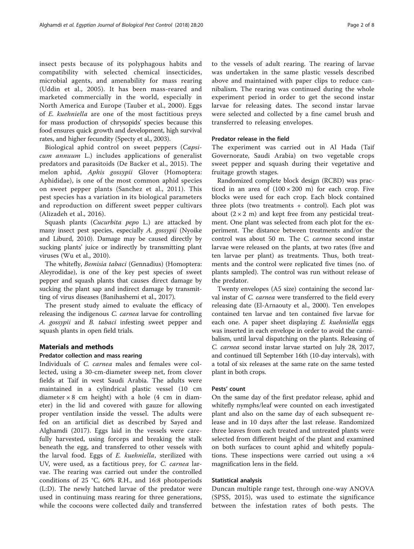insect pests because of its polyphagous habits and compatibility with selected chemical insecticides, microbial agents, and amenability for mass rearing (Uddin et al., [2005\)](#page-7-0). It has been mass-reared and marketed commercially in the world, especially in North America and Europe (Tauber et al., [2000](#page-7-0)). Eggs of E. kuehniella are one of the most factitious preys for mass production of chrysopids' species because this food ensures quick growth and development, high survival rates, and higher fecundity (Specty et al., [2003](#page-7-0)).

Biological aphid control on sweet peppers (Capsicum annuum L.) includes applications of generalist predators and parasitoids (De Backer et al., [2015](#page-7-0)). The melon aphid, Aphis gossypii Glover (Homoptera: Aphididae), is one of the most common aphid species on sweet pepper plants (Sanchez et al., [2011\)](#page-7-0). This pest species has a variation in its biological parameters and reproduction on different sweet pepper cultivars (Alizadeh et al., [2016\)](#page-7-0).

Squash plants (Cucurbita pepo L.) are attacked by many insect pest species, especially A. gossypii (Nyoike and Liburd, [2010](#page-7-0)). Damage may be caused directly by sucking plants' juice or indirectly by transmitting plant viruses (Wu et al., [2010](#page-7-0)).

The whitefly, Bemisia tabaci (Gennadius) (Homoptera: Aleyrodidae), is one of the key pest species of sweet pepper and squash plants that causes direct damage by sucking the plant sap and indirect damage by transmitting of virus diseases (Banihashemi et al., [2017\)](#page-7-0).

The present study aimed to evaluate the efficacy of releasing the indigenous C. carnea larvae for controlling A. gossypii and B. tabaci infesting sweet pepper and squash plants in open field trials.

### Materials and methods

### Predator collection and mass rearing

Individuals of C. carnea males and females were collected, using a 30-cm-diameter sweep net, from clover fields at Taif in west Saudi Arabia. The adults were maintained in a cylindrical plastic vessel (10 cm diameter  $\times$  8 cm height) with a hole (4 cm in diameter) in the lid and covered with gauze for allowing proper ventilation inside the vessel. The adults were fed on an artificial diet as described by Sayed and Alghamdi ([2017\)](#page-7-0). Eggs laid in the vessels were carefully harvested, using forceps and breaking the stalk beneath the egg, and transferred to other vessels with the larval food. Eggs of E. kuehniella, sterilized with UV, were used, as a factitious prey, for C. carnea larvae. The rearing was carried out under the controlled conditions of 25 °C, 60% R.H., and 16:8 photoperiods (L:D). The newly hatched larvae of the predator were used in continuing mass rearing for three generations, while the cocoons were collected daily and transferred

to the vessels of adult rearing. The rearing of larvae was undertaken in the same plastic vessels described above and maintained with paper clips to reduce cannibalism. The rearing was continued during the whole experiment period in order to get the second instar larvae for releasing dates. The second instar larvae were selected and collected by a fine camel brush and transferred to releasing envelopes.

### Predator release in the field

The experiment was carried out in Al Hada (Taif Governorate, Saudi Arabia) on two vegetable crops sweet pepper and squash during their vegetative and fruitage growth stages.

Randomized complete block design (RCBD) was practiced in an area of  $(100 \times 200)$  m) for each crop. Five blocks were used for each crop. Each block contained three plots (two treatments + control). Each plot was about  $(2 \times 2 \text{ m})$  and kept free from any pesticidal treatment. One plant was selected from each plot for the experiment. The distance between treatments and/or the control was about 50 m. The C. carnea second instar larvae were released on the plants, at two rates (five and ten larvae per plant) as treatments. Thus, both treatments and the control were replicated five times (no. of plants sampled). The control was run without release of the predator.

Twenty envelopes (A5 size) containing the second larval instar of C. carnea were transferred to the field every releasing date (El-Arnaouty et al., [2000](#page-7-0)). Ten envelopes contained ten larvae and ten contained five larvae for each one. A paper sheet displaying E. kuehniella eggs was inserted in each envelope in order to avoid the cannibalism, until larval dispatching on the plants. Releasing of C. carnea second instar larvae started on July 28, 2017, and continued till September 16th (10-day intervals), with a total of six releases at the same rate on the same tested plant in both crops.

### Pests' count

On the same day of the first predator release, aphid and whitefly nymphs/leaf were counted on each investigated plant and also on the same day of each subsequent release and in 10 days after the last release. Randomized three leaves from each treated and untreated plants were selected from different height of the plant and examined on both surfaces to count aphid and whitefly populations. These inspections were carried out using a  $\times 4$ magnification lens in the field.

#### Statistical analysis

Duncan multiple range test, through one-way ANOVA (SPSS, [2015\)](#page-7-0), was used to estimate the significance between the infestation rates of both pests. The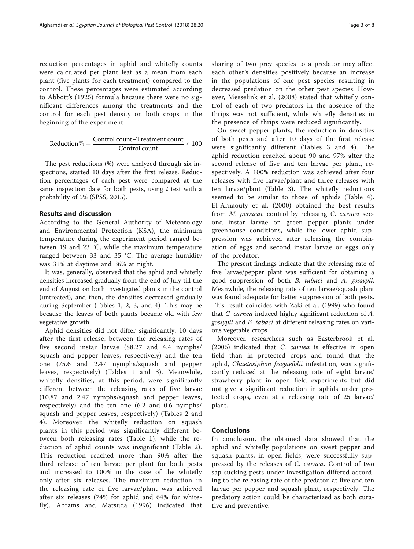reduction percentages in aphid and whitefly counts were calculated per plant leaf as a mean from each plant (five plants for each treatment) compared to the control. These percentages were estimated according to Abbott's ([1925](#page-7-0)) formula because there were no significant differences among the treatments and the control for each pest density on both crops in the beginning of the experiment.

$$
Reduction\% = \frac{Control \text{ count} - Treatment \text{ count}}{Control \text{ count}} \times 100
$$

The pest reductions (%) were analyzed through six inspections, started 10 days after the first release. Reduction percentages of each pest were compared at the same inspection date for both pests, using  $t$  test with a probability of 5% (SPSS, [2015\)](#page-7-0).

#### Results and discussion

According to the General Authority of Meteorology and Environmental Protection (KSA), the minimum temperature during the experiment period ranged between 19 and 23 °C, while the maximum temperature ranged between 33 and 35 °C. The average humidity was 31% at daytime and 36% at night.

It was, generally, observed that the aphid and whitefly densities increased gradually from the end of July till the end of August on both investigated plants in the control (untreated), and then, the densities decreased gradually during September (Tables [1](#page-3-0), [2,](#page-4-0) [3,](#page-5-0) and [4\)](#page-6-0). This may be because the leaves of both plants became old with few vegetative growth.

Aphid densities did not differ significantly, 10 days after the first release, between the releasing rates of five second instar larvae (88.27 and 4.4 nymphs/ squash and pepper leaves, respectively) and the ten one (75.6 and 2.47 nymphs/squash and pepper leaves, respectively) (Tables [1](#page-3-0) and [3\)](#page-5-0). Meanwhile, whitefly densities, at this period, were significantly different between the releasing rates of five larvae (10.87 and 2.47 nymphs/squash and pepper leaves, respectively) and the ten one (6.2 and 0.6 nymphs/ squash and pepper leaves, respectively) (Tables [2](#page-4-0) and [4\)](#page-6-0). Moreover, the whitefly reduction on squash plants in this period was significantly different between both releasing rates (Table [1\)](#page-3-0), while the reduction of aphid counts was insignificant (Table [2\)](#page-4-0). This reduction reached more than 90% after the third release of ten larvae per plant for both pests and increased to 100% in the case of the whitefly only after six releases. The maximum reduction in the releasing rate of five larvae/plant was achieved after six releases (74% for aphid and 64% for whitefly). Abrams and Matsuda ([1996](#page-7-0)) indicated that sharing of two prey species to a predator may affect each other's densities positively because an increase in the populations of one pest species resulting in decreased predation on the other pest species. However, Messelink et al. ([2008](#page-7-0)) stated that whitefly control of each of two predators in the absence of the thrips was not sufficient, while whitefly densities in the presence of thrips were reduced significantly.

On sweet pepper plants, the reduction in densities of both pests and after 10 days of the first release were significantly different (Tables [3](#page-5-0) and [4\)](#page-6-0). The aphid reduction reached about 90 and 97% after the second release of five and ten larvae per plant, respectively. A 100% reduction was achieved after four releases with five larvae/plant and three releases with ten larvae/plant (Table [3](#page-5-0)). The whitefly reductions seemed to be similar to those of aphids (Table [4](#page-6-0)). El-Arnaouty et al. ([2000](#page-7-0)) obtained the best results from M. persicae control by releasing C. carnea second instar larvae on green pepper plants under greenhouse conditions, while the lower aphid suppression was achieved after releasing the combination of eggs and second instar larvae or eggs only of the predator.

The present findings indicate that the releasing rate of five larvae/pepper plant was sufficient for obtaining a good suppression of both B. tabaci and A. gossypii. Meanwhile, the releasing rate of ten larvae/squash plant was found adequate for better suppression of both pests. This result coincides with Zaki et al. ([1999](#page-7-0)) who found that C. carnea induced highly significant reduction of A. gossypii and B. tabaci at different releasing rates on various vegetable crops.

Moreover, researchers such as Easterbrook et al. ([2006\)](#page-7-0) indicated that C. carnea is effective in open field than in protected crops and found that the aphid, Chaetosiphon fragaefolii infestation, was significantly reduced at the releasing rate of eight larvae/ strawberry plant in open field experiments but did not give a significant reduction in aphids under protected crops, even at a releasing rate of 25 larvae/ plant.

### Conclusions

In conclusion, the obtained data showed that the aphid and whitefly populations on sweet pepper and squash plants, in open fields, were successfully suppressed by the releases of C. carnea. Control of two sap-sucking pests under investigation differed according to the releasing rate of the predator, at five and ten larvae per pepper and squash plant, respectively. The predatory action could be characterized as both curative and preventive.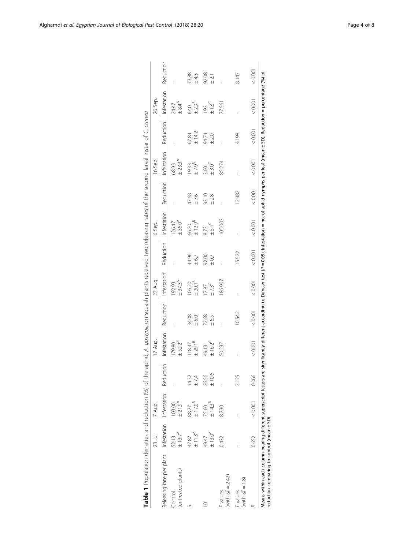<span id="page-3-0"></span>

|                                                            | 28 Jul.                      | 7 Aug.                       |                | 17 Aug.                       |                          | 27 Aug.                      |                 | 6 Sep.                           |              | 16 Sep.                         |                 | 26 Sep.                                 |                    |
|------------------------------------------------------------|------------------------------|------------------------------|----------------|-------------------------------|--------------------------|------------------------------|-----------------|----------------------------------|--------------|---------------------------------|-----------------|-----------------------------------------|--------------------|
| Releasing rate per plant Infestation Infestation Reduction |                              |                              |                | Infestation                   | Reduction                | Infestation                  | Reduction       | Infestation                      | Reduction    | Infestation                     | Reduction       | Infestation                             | Reduction          |
| untreated plants)<br>Control                               | ± 13.7 <sup>A</sup><br>52.13 | $±21.9^A$<br>103.00          |                | $± 52.2^A$<br>179.80          | $\overline{\phantom{a}}$ | $± 37.3^A$<br>192.93         |                 | $±36.0^A$<br>126.47              |              | $± 23.3^A$<br>68.93             |                 | $± 8.4^4$<br>24.47                      |                    |
|                                                            | $±11.3^A$<br>47.87           | ±17.0 <sup>B</sup><br>88.27  | 14.32<br>± 7.4 | ± 29.1 <sup>B</sup><br>118.47 | 34.08<br>± 5.0           | $\pm 20.1^{\circ}$<br>106.20 | 44.96<br>±6.7   | $\pm$ 12.9 <sup>B</sup><br>66.20 | 47.68<br>±76 | $\pm$ 7.9 <sup>B</sup><br>19.33 | 67.84<br>± 14.2 | $\pm 2.9^{\text{B}}$<br>6.40            | 73.88<br>$\pm 4.5$ |
|                                                            | ±13.0 <sup>A</sup><br>49.47  | ± 14.3 <sup>B</sup><br>75.60 | ±10.6<br>26.56 | $± 16.2^C$<br>49.13           | 72.68<br>± 6.5           | $±7.3^C$<br>17.87            | 92.00<br>$+0.7$ | $±5.1^C$<br>8.73                 | 93.10<br>±28 | ±3.0 <sup>C</sup><br>3.60       | 94.74<br>± 2.0  | $\pm$ 1.8 <sup>C</sup><br>$\frac{3}{2}$ | 92.08<br>$\pm 2.1$ |
| (with $df = 2.42$ )<br>values                              | 0.432                        | 8.730                        |                | 50.237                        |                          | 86.907                       |                 | 105.003                          |              | 85.274                          |                 | 77.561                                  |                    |
| (with $df = 1.8$ )<br>values                               |                              |                              | 2.125          |                               | 10.542                   | I                            | 15.572          |                                  | 12.482       |                                 | 4.198           |                                         | 8.147              |
|                                                            | 0.652                        | 0.001                        | 0.066          | 0.001                         | 0.001                    | 0.001                        | 10000           | 0.001                            | < 0.001      | 0.001                           | 0.001           | < 0.001                                 | 0.001              |

| i                             | $\overline{a}$                                   |
|-------------------------------|--------------------------------------------------|
| S                             |                                                  |
|                               |                                                  |
| I<br>j                        |                                                  |
|                               |                                                  |
|                               |                                                  |
|                               |                                                  |
| $\overline{2}$                | $\ddot{\phantom{a}}$                             |
| ׇ֚֬֓֡                         |                                                  |
| ていつついつ                        |                                                  |
| りりり                           |                                                  |
|                               |                                                  |
|                               |                                                  |
| さんきょう<br>)<br>)<br>)<br>ׇ֚֬֓֡ |                                                  |
| J                             |                                                  |
| l                             | י<br>י                                           |
| j<br>í                        |                                                  |
| !<br>.                        |                                                  |
|                               |                                                  |
| )<br>2)<br>-                  |                                                  |
| j                             |                                                  |
| $\frac{1}{2}$                 |                                                  |
|                               |                                                  |
|                               | $\frac{1}{2}$                                    |
| יין אין נאוואר אין א<br>l     |                                                  |
|                               |                                                  |
|                               |                                                  |
| ì                             |                                                  |
|                               |                                                  |
| ו המרכז ומו                   |                                                  |
|                               | $\overline{\phantom{a}}$                         |
| י<br>י                        |                                                  |
|                               |                                                  |
|                               |                                                  |
|                               |                                                  |
|                               |                                                  |
| l                             |                                                  |
|                               |                                                  |
| reduct                        | ֖֖֧֚֚֚֚֚֚֚֚֚֚֚֚֚֚֚֚֚֚֚֚֚֚֚֚֚֚֚֡֬֡֡֓֡֞֝֬֝֓֞֝֬֝֓֝֬ |
| $\mathfrak{c}$                |                                                  |
|                               |                                                  |
|                               | ֖֖֖֚֚֚֚֚֡֬                                       |
|                               |                                                  |
| I                             |                                                  |
|                               |                                                  |
|                               |                                                  |
|                               |                                                  |
|                               |                                                  |
|                               |                                                  |
|                               |                                                  |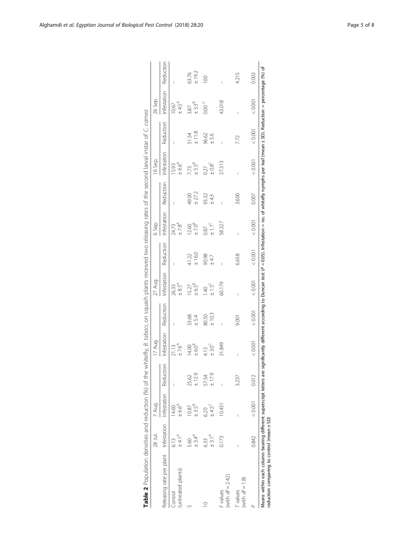<span id="page-4-0"></span>

| Table 2 Population densities and reduction (%) of the whitefly, <i>B. tabaci</i> , on squash plants received two releasing rates of the second larval instar of C. camea                                                                                               |                           |                            |                |                           |                |                            |                       |                                 |                 |                           |                     |                           |                |
|------------------------------------------------------------------------------------------------------------------------------------------------------------------------------------------------------------------------------------------------------------------------|---------------------------|----------------------------|----------------|---------------------------|----------------|----------------------------|-----------------------|---------------------------------|-----------------|---------------------------|---------------------|---------------------------|----------------|
|                                                                                                                                                                                                                                                                        | 28 Jul.                   | 7 Aug.                     |                | 17 Aug.                   |                | 27 Aug.                    |                       | 6 Sep.                          |                 | 16 Sep.                   |                     | 26 Sep.                   |                |
| Releasing rate per plant Infestation Infestation Reduction                                                                                                                                                                                                             |                           |                            |                | Infestation               | Reduction      | Infestation                | Reduction             | Infestation                     | Reduction       | Infestation               | Reduction           | Infestation               | Reduction      |
| (untreated plants)<br>Control                                                                                                                                                                                                                                          | $\pm 4.1^{\circ}$<br>6.13 | $±6.6^A$<br>14,60          |                | $±7.6^{\circ}$            |                | $+8.5^{\circ}$<br>26.33    |                       | $±7.8^{\circ}$<br>24.73         |                 | $±6.6^A$<br>15.93         |                     | $±4.5^A$<br>10.67         |                |
|                                                                                                                                                                                                                                                                        | $±3.4^A$<br>5.60          | ±3.5 <sup>8</sup><br>10.87 | 25.62<br>±12.9 | $\pm 6.0^8$<br>14.00      | 33.68<br>±5.4  | $6.5^8$<br>15.27           | $41.22$<br>$\pm 16.0$ | $\pm$ 7.0 <sup>8</sup><br>12.60 | ± 27.2<br>49.00 | ±5.5 <sup>B</sup><br>7.73 | $\pm$ 11.8<br>51.54 | ±3.3 <sup>B</sup><br>3.87 | ±19.2<br>63.76 |
| $\supseteq$                                                                                                                                                                                                                                                            | $±3.1^A$<br>6.33          | $±4.5^\circ$<br>6.20       | 57.54<br>±17.9 | ±3.0 <sup>C</sup><br>4.13 | ±10.3<br>80.50 | $±1.5^C$<br>$\frac{40}{1}$ | 90.98<br>±47          | $\pm$ 1.1 <sup>C</sup><br>0.87  | 93.32<br>± 43   | $10.8^{\circ}$<br>0.27    | 96.62<br>± 5.6      | 0.00C                     | $\overline{0}$ |
| (with $df = 2.42$ )<br>F values                                                                                                                                                                                                                                        | 0.173                     | 10.451                     |                | 31.849                    |                | 60.179                     |                       | 58.327                          |                 | 37.313                    |                     | 43.018                    |                |
| (with $df = 1.8$ )<br><b>T</b> values                                                                                                                                                                                                                                  |                           |                            | 3.237          |                           | 9.001          |                            | 6.658                 |                                 | 3.600           |                           | 7.72                |                           | 4.215          |
|                                                                                                                                                                                                                                                                        | 0.842                     | 0.001                      | 0.012          | 0.001                     | < 0.001        | 0.001                      | 10000                 | 0.001                           | 0.007           | < 0.001                   | < 0.001             | < 0.001                   | 0.003          |
| Means within each column bearing different superscript letters are significantly different according to Duncan test (P = 0.05). Infestation = no. of whitefly nymphs per leaf (mean ± SD). Reduction = percentage (%) of<br>reduction comparing to control (mean ± SD) |                           |                            |                |                           |                |                            |                       |                                 |                 |                           |                     |                           |                |

| ا<br>ا                                                                                      |  |
|---------------------------------------------------------------------------------------------|--|
| į<br>١                                                                                      |  |
| I                                                                                           |  |
| .<br>.<br>.                                                                                 |  |
|                                                                                             |  |
| ļ<br>֕                                                                                      |  |
|                                                                                             |  |
|                                                                                             |  |
| ׅ֘                                                                                          |  |
| l                                                                                           |  |
|                                                                                             |  |
| $+ - - + - -$<br>j                                                                          |  |
| ١                                                                                           |  |
| ׇ֓֡<br>j                                                                                    |  |
|                                                                                             |  |
| is si                                                                                       |  |
| ֖֖֖֖֖֖֖֧ׅ֖ׅ֖֧֪֪ׅ֖֧֪֪ׅ֖֧֪֪֪֪֪֪֪֪֪֪֪֪֪֪֪֪֪֪֪֪֪֪֪֪֪֪֪֪֪֪֪֪֪֪֪֚֚֚֚֚֚֚֚֚֚֚֚֚֚֚֚֚֚֚֚֚֚֚֡֝֝֝֝<br>i |  |
| ì                                                                                           |  |
|                                                                                             |  |
| l                                                                                           |  |
|                                                                                             |  |
| ١<br>$\ddot{\phantom{a}}$<br>l<br>֬֕֓֕֓֡֬                                                   |  |
| i<br>:<br>I                                                                                 |  |
|                                                                                             |  |
|                                                                                             |  |
|                                                                                             |  |
| Ï                                                                                           |  |
|                                                                                             |  |
|                                                                                             |  |
|                                                                                             |  |
|                                                                                             |  |
| Ï                                                                                           |  |
| $\overline{1}$                                                                              |  |
| İ<br>Í<br>j<br>l                                                                            |  |
| j<br>l                                                                                      |  |
| ׇ֘֒<br>I<br>Ì                                                                               |  |
|                                                                                             |  |
|                                                                                             |  |
|                                                                                             |  |
| l                                                                                           |  |
|                                                                                             |  |
| ļ<br>$\overline{a}$<br>l                                                                    |  |
|                                                                                             |  |
|                                                                                             |  |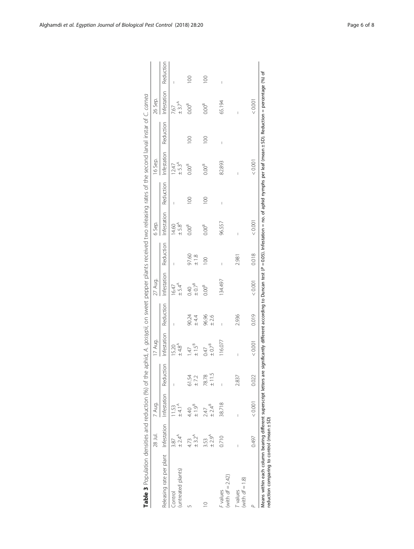|                                                            | 28 Jul.                    | 7 Aug.                        |                     | 17 Aug.                      |               | 27 Aug.                      |                    | 6 Sep.                     |               | 16 Sep.                 |                | 26 Sep.                                   |                  |
|------------------------------------------------------------|----------------------------|-------------------------------|---------------------|------------------------------|---------------|------------------------------|--------------------|----------------------------|---------------|-------------------------|----------------|-------------------------------------------|------------------|
| Releasing rate per plant Infestation Infestation Reduction |                            |                               |                     | Infestation                  | Reduction     | Infestation                  | Reduction          | Infestation                | Reduction     | Infestation             | Reduction      | Infestation                               | Reduction        |
| (untreated plants)<br>Control                              | $± 2.4^A$<br>3.87          | $±4.1^A$<br>1.53              |                     | $±4.8^{\circ}$<br>15.20      |               | $± 5.4^4$<br>16.47           |                    | ±5.8 <sup>4</sup><br>14.60 | I             | $+5.3^{\circ}$<br>12.47 |                | $±$ 3.7 <sup><math>A</math></sup><br>7.67 |                  |
|                                                            | $± 3.2^A$<br>4.73          | $\pm$ 1.9 <sup>B</sup><br>440 | 61.54<br>±7.2       | ±1.5 <sup>B</sup><br>$-47$   | 90.24<br>±44  | $\pm 0.7^{\text{B}}$<br>0.40 | 97.60<br>$\pm$ 1.8 | 0.00 <sup>B</sup>          | $\frac{8}{1}$ | $0.00^B$                | $\overline{0}$ | 0.00 <sup>B</sup>                         | $\overline{0}$   |
|                                                            | ± 2.9 <sup>A</sup><br>3.53 | $±2.4^B$<br>247               | $\pm$ 11.5<br>78.78 | $\pm 0.7^{\text{B}}$<br>0.47 | 96.96<br>±2.6 | 0.00 <sup>B</sup>            | $\overline{0}$     | 0.00 <sup>B</sup>          | $\approx$     | 0.00 <sup>B</sup>       | 100            | 0.00 <sup>B</sup>                         | $\overline{100}$ |
| (with $df = 2.42$ )<br>F values                            | 0.710                      | 38.718                        |                     | 116.077                      | I             | 134.497                      | Ï                  | 96.557                     | I             | 82.893                  | I              | 65.194                                    | I                |
| (with $df = 1.8$ )<br>T values                             |                            |                               | 2.837               | I                            | 2.936         |                              | 2.981              | I                          |               | I                       |                | Ï                                         |                  |
|                                                            | 0.497                      | 0.001                         | 0.022               | < 0.001                      | 0.019         | < 0.001                      | 0.018              | 0.001                      |               | 0.001                   |                | 0.001                                     |                  |

|     | I                                                                                                      |
|-----|--------------------------------------------------------------------------------------------------------|
|     | S<br>i                                                                                                 |
|     | Ś<br>I<br>j                                                                                            |
| I   | j<br>j                                                                                                 |
|     | $\frac{1}{\zeta}$                                                                                      |
|     |                                                                                                        |
|     | $\frac{1}{2}$<br>֕                                                                                     |
|     |                                                                                                        |
|     |                                                                                                        |
|     | ļ                                                                                                      |
|     | 5<br>5<br>5<br>5                                                                                       |
|     |                                                                                                        |
|     | )<br>)<br>)<br>ç                                                                                       |
|     | i                                                                                                      |
|     | .<br>C<br>j<br>֘֒<br>Ì<br>١<br>l                                                                       |
|     |                                                                                                        |
|     | l                                                                                                      |
|     |                                                                                                        |
|     | ً<br>با                                                                                                |
|     | $\vdots$<br>l<br>ì                                                                                     |
|     | Ì                                                                                                      |
|     | i<br>$\overline{ }$<br>$\mathfrak{h}$                                                                  |
|     |                                                                                                        |
|     | うりりり<br>l<br>l                                                                                         |
|     | i                                                                                                      |
|     | i<br>֖֖֖֖֖֧֖ׅ֖ׅ֖֧֪ׅ֖֧֧֪֪֪֪֪֪֪֪ׅ֦֧֪֪֪֪֪֪֪֪֪֪֪֪֪֪֪֪֪֪֪֪֪֪֪֪֪֪֪֪֪֪֪֪֪֪֚֚֚֚֚֚֚֚֚֚֚֚֚֚֚֚֚֚֚֚֚֚֚֚֡֝֝֝֓֞֝֬֬֝֬ |
|     | $\ddot{\phantom{a}}$<br>$\ddot{\phantom{a}}$                                                           |
|     |                                                                                                        |
|     | $\frac{5}{1}$<br>ī<br>ï<br>Ì                                                                           |
|     | ž<br>j                                                                                                 |
|     | I<br>i                                                                                                 |
|     | j<br>ļ<br>ׇ֚֬֡                                                                                         |
|     | $\vdots$<br>ł                                                                                          |
|     | ļ<br>I<br>۱                                                                                            |
|     | ¢<br>)                                                                                                 |
|     |                                                                                                        |
|     | j<br>l<br>J                                                                                            |
|     | J<br>I<br>֠                                                                                            |
|     | $\overline{ }$                                                                                         |
|     | りりり<br>5<br>Ì                                                                                          |
|     | 1                                                                                                      |
|     | ׇ֖֖֖֚֚֚֚֚֚֡֝                                                                                           |
|     |                                                                                                        |
|     | $\overline{\phantom{a}}$<br>Ì                                                                          |
| ì   |                                                                                                        |
|     |                                                                                                        |
|     | l,<br>.<br>!<br>١<br>ׇׅ֠                                                                               |
|     | $\overline{ }$                                                                                         |
|     |                                                                                                        |
|     | $\ddot{\phantom{0}}$<br>j                                                                              |
|     |                                                                                                        |
|     | S<br>į<br>ć<br>i                                                                                       |
|     | 5<br>١<br>i                                                                                            |
|     | ı                                                                                                      |
|     | J                                                                                                      |
|     | Ì.                                                                                                     |
| C/O | Ï<br>ξ                                                                                                 |
|     |                                                                                                        |
|     | $\frac{c}{c}$<br>5                                                                                     |
| é   | 5<br>ī                                                                                                 |
|     |                                                                                                        |
|     | Ì                                                                                                      |
|     |                                                                                                        |
|     |                                                                                                        |
|     |                                                                                                        |
|     |                                                                                                        |
|     |                                                                                                        |
|     |                                                                                                        |
|     |                                                                                                        |
|     |                                                                                                        |
|     |                                                                                                        |
|     |                                                                                                        |
|     |                                                                                                        |
|     |                                                                                                        |
|     |                                                                                                        |
|     |                                                                                                        |
|     |                                                                                                        |
|     | ۰                                                                                                      |

<span id="page-5-0"></span>Alghamdi et al. Egyptian Journal of Biological Pest Control (2018) 28:20 Page 6 of 8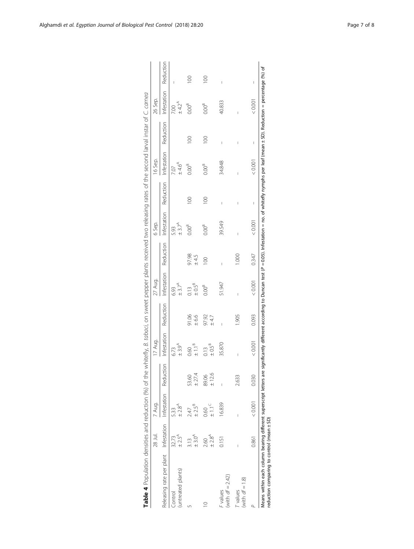<span id="page-6-0"></span>

|                                                            | 28 Jul.            | 7 Aug.             |                 | I7 Aug.                          |                | 27 Aug.                    |                      | 6 Sep.                      |                          | 16 Sep.                   |                          | 26 Sep.           |                          |
|------------------------------------------------------------|--------------------|--------------------|-----------------|----------------------------------|----------------|----------------------------|----------------------|-----------------------------|--------------------------|---------------------------|--------------------------|-------------------|--------------------------|
| Releasing rate per plant Infestation Infestation Reduction |                    |                    |                 | Infestation                      | Reduction      | Infestation                | Reduction            | Infestation                 | Reduction                | Infestation               | Reduction                | Infestation       | Reduction                |
| (untreated plants)<br>Control                              | $± 2.5^A$<br>32.73 | $±2.8^A$<br>533    |                 | ±3.9 <sup>A</sup><br>6.73        |                | ± 3.7 <sup>A</sup><br>6.93 |                      | ± 3.7 <sup>AA</sup><br>5.93 |                          | $\pm 4.6^{\circ}$<br>7.07 |                          | $± 4.2^A$<br>7.00 | I                        |
|                                                            | ±3.0 <sup>4</sup>  | $\pm 2.5^B$<br>247 | ± 27.4<br>53.60 | $\pm$ 1.1 <sup>8</sup><br>0.60   | 91.06<br>6.6   | $0.13$<br>$0.5^8$          | $97.98$<br>$\pm 4.5$ | $0.00^{\text{B}}$           | $\approx$                | $0.00^B$                  | $\approx$                | $0.00^B$          |                          |
|                                                            | $±2.8^A$<br>2.60   | $-1.1 -$<br>0.60   | ±12.6<br>89.06  | $0.13$<br>$\pm 0.5$ <sup>B</sup> | 97.92<br>±4.7  | 0.00 <sup>B</sup>          | $\approx$            | 0.00 <sup>B</sup>           | $\geq$                   | 0.00 <sup>B</sup>         | $\approx$                | 0.00 <sup>B</sup> | $\geq$                   |
| (with $df = 2.42$ )<br>i values                            | 0.151              | 16.839             |                 | 35.870                           | $\overline{1}$ | 51.947                     | Ī                    | 39.549                      | $\overline{\phantom{a}}$ | 34.848                    | $\overline{\phantom{a}}$ | 40.833            | $\overline{\phantom{a}}$ |
| with $df = 1.8$<br>values                                  |                    |                    | 2.633           | I                                | 1.905          | I                          | $\frac{80}{100}$     | Ï                           | I                        |                           | I                        |                   |                          |
|                                                            | 0.861              | 0.001              | 0.030           | 0.001                            | 0.093          | 0.001                      | 0.347                | 0.001                       | I                        | 0.001                     | I                        | 0.001             | I                        |

|     | יי אי הי<br>ţ                                                |                                                               |
|-----|--------------------------------------------------------------|---------------------------------------------------------------|
|     |                                                              |                                                               |
| I   |                                                              |                                                               |
|     | $\frac{1}{2}$                                                |                                                               |
|     |                                                              |                                                               |
|     | $\frac{1}{2}$                                                |                                                               |
|     |                                                              |                                                               |
|     | ļ<br>ī                                                       |                                                               |
|     | í                                                            |                                                               |
|     |                                                              |                                                               |
|     | ļ                                                            |                                                               |
|     | Ò<br>ĺ                                                       |                                                               |
|     | l<br>Ì                                                       |                                                               |
|     | י<br>י                                                       |                                                               |
|     | ı                                                            |                                                               |
|     |                                                              |                                                               |
|     | ֚֘֒                                                          |                                                               |
|     | 1<br>Į,                                                      |                                                               |
|     |                                                              |                                                               |
|     | ١                                                            | ֖֖֖֖֖ׅׅ֖֧ׅ֖֧֪ׅ֖֧֪ׅ֖֚֚֚֚֚֚֚֚֚֚֚֚֚֚֚֚֚֚֚֚֚֚֚֚֚֚֚֚֚֚֚֡֝֝֓֞֡֡֓֞֝֝ |
|     | ׇ֓֡֡                                                         |                                                               |
|     | 5<br>Ï                                                       |                                                               |
|     | j<br>ו<br>ו                                                  |                                                               |
|     |                                                              |                                                               |
|     | $\mathbf{I}$<br>;<br>;                                       |                                                               |
|     |                                                              |                                                               |
|     | i<br>ּ<br>;                                                  |                                                               |
|     |                                                              |                                                               |
|     | l                                                            |                                                               |
|     | Ï<br>:                                                       |                                                               |
|     |                                                              |                                                               |
|     | ļ<br>l                                                       |                                                               |
|     |                                                              |                                                               |
|     | j                                                            |                                                               |
|     |                                                              |                                                               |
|     |                                                              |                                                               |
|     |                                                              |                                                               |
|     | Ì<br>1                                                       |                                                               |
|     |                                                              |                                                               |
|     |                                                              |                                                               |
|     |                                                              |                                                               |
|     |                                                              |                                                               |
|     | 1                                                            |                                                               |
|     |                                                              |                                                               |
|     |                                                              |                                                               |
|     | i                                                            |                                                               |
|     |                                                              |                                                               |
|     |                                                              |                                                               |
|     | $\frac{1}{2}$                                                |                                                               |
|     |                                                              |                                                               |
|     |                                                              |                                                               |
|     | l                                                            |                                                               |
|     |                                                              |                                                               |
|     |                                                              |                                                               |
| (n/ |                                                              |                                                               |
|     | ç<br>֦                                                       |                                                               |
|     | Ò<br>ׇ֘֒                                                     |                                                               |
|     | ì<br>֚֬֕                                                     |                                                               |
|     | i                                                            |                                                               |
|     |                                                              |                                                               |
|     | ֖֖֖֖֖֧ׅ֪ׅ֖֧֧ׅ֚֚֚֚֚֚֚֚֚֚֚֚֚֚֚֚֚֚֚֚֚֚֚֚֬֝֝֓֞֝֬֓֡֬              |                                                               |
|     |                                                              |                                                               |
|     | ׇׇ֘֝֡<br>l                                                   |                                                               |
|     |                                                              |                                                               |
|     | ׇ֓֡<br>I                                                     |                                                               |
|     | ֖֖֖֖֖֖֧֖֧ׅ֧ׅ֖֧֖֧ׅ֧֪֧֚֚֚֚֚֚֚֚֚֚֚֚֚֚֚֚֚֚֚֚֚֚֚֡֬֝֝֝֬֝֓֞֝֬֓֓֞֝֬֝ |                                                               |
|     |                                                              |                                                               |
|     |                                                              |                                                               |
|     | l                                                            |                                                               |
|     |                                                              |                                                               |
|     |                                                              |                                                               |
|     |                                                              |                                                               |
|     | ć                                                            |                                                               |
|     | ī                                                            |                                                               |
| 7   | $\frac{2}{3}$                                                |                                                               |
|     |                                                              |                                                               |